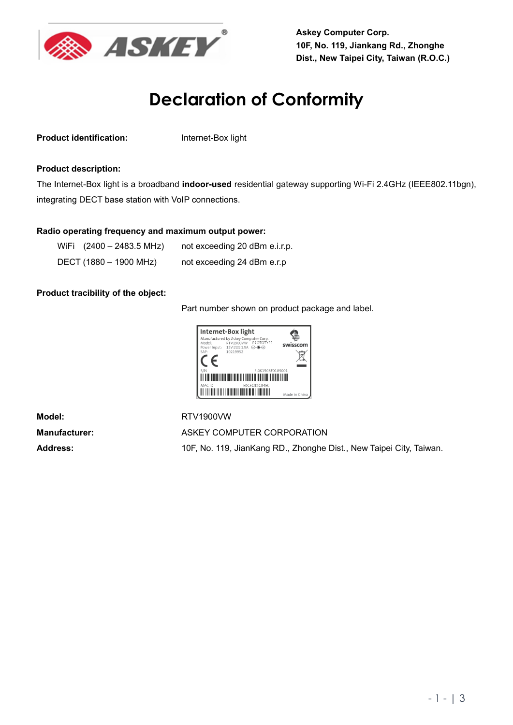

**Askey Computer Corp. 10F, No. 119, Jiankang Rd., Zhonghe Dist., New Taipei City, Taiwan (R.O.C.)**

## **Declaration of Conformity**

**Product identification:** Internet-Box light

## **Product description:**

The Internet-Box light is a broadband **indoor-used** residential gateway supporting Wi-Fi 2.4GHz (IEEE802.11bgn), integrating DECT base station with VoIP connections.

## **Radio operating frequency and maximum output power:**

| WiFi (2400 - 2483.5 MHz) | not exceeding 20 dBm e.i.r.p. |
|--------------------------|-------------------------------|
| DECT (1880 – 1900 MHz)   | not exceeding 24 dBm e.r.p    |

## **Product tracibility of the object:**

Part number shown on product package and label.



**Model:** RTV1900VW

Manufacturer: ASKEY COMPUTER CORPORATION **Address:** 10F, No. 119, JianKang RD., Zhonghe Dist., New Taipei City, Taiwan.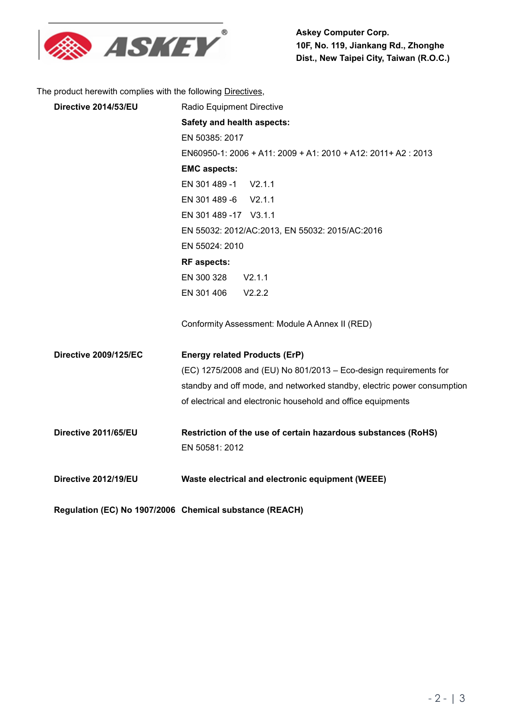

The product herewith complies with the following Directives,

| Directive 2014/53/EU         | Radio Equipment Directive                                               |
|------------------------------|-------------------------------------------------------------------------|
|                              | Safety and health aspects:                                              |
|                              | EN 50385: 2017                                                          |
|                              | EN60950-1: 2006 + A11: 2009 + A1: 2010 + A12: 2011+ A2: 2013            |
|                              | <b>EMC aspects:</b>                                                     |
|                              | EN 301 489 -1 V2.1.1                                                    |
|                              | EN 301 489 -6 V2.1.1                                                    |
|                              | EN 301 489 - 17 V3.1.1                                                  |
|                              | EN 55032: 2012/AC:2013, EN 55032: 2015/AC:2016                          |
|                              | EN 55024: 2010                                                          |
|                              | <b>RF</b> aspects:                                                      |
|                              | EN 300 328<br>V2.1.1                                                    |
|                              | EN 301 406<br>V2.2.2                                                    |
|                              | Conformity Assessment: Module A Annex II (RED)                          |
| <b>Directive 2009/125/EC</b> | <b>Energy related Products (ErP)</b>                                    |
|                              | (EC) 1275/2008 and (EU) No 801/2013 - Eco-design requirements for       |
|                              | standby and off mode, and networked standby, electric power consumption |
|                              | of electrical and electronic household and office equipments            |
| Directive 2011/65/EU         | Restriction of the use of certain hazardous substances (RoHS)           |
|                              | EN 50581: 2012                                                          |
| Directive 2012/19/EU         | Waste electrical and electronic equipment (WEEE)                        |
|                              |                                                                         |
|                              |                                                                         |

**Regulation (EC) No 1907/2006 Chemical substance (REACH)**